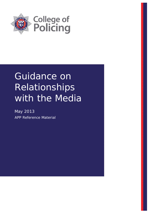

# Guidance on Relationships with the Media

May 2013 APP Reference Material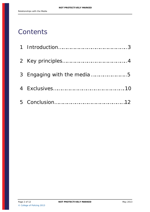# **Contents**

| 3 Engaging with the media5 |
|----------------------------|
|                            |
|                            |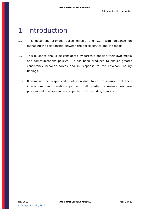### <span id="page-2-0"></span>1 Introduction

- 1.1 This document provides police officers and staff with guidance on managing the relationship between the police service and the media.
- 1.2 This guidance should be considered by forces alongside their own media and communications policies. It has been produced to ensure greater consistency between forces and in response to the Leveson Inquiry findings.
- 1.3 It remains the responsibility of individual forces to ensure that their interactions and relationships with all media representatives are professional, transparent and capable of withstanding scrutiny.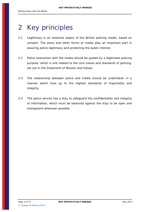# <span id="page-3-0"></span>2 Key principles

- 2.1 Legitimacy is an essential aspect of the British policing model, based on consent. The press and other forms of media play an important part in assuring police legitimacy and protecting the public interest.
- 2.2 Police interaction with the media should be guided by a legitimate policing purpose, which is one related to the core values and standards of policing, set out in the Statement of Mission and Values.
- 2.3 The relationship between police and media should be undertaken in a manner which lives up to the highest standards of impartiality and integrity.
- 2.4 The police service has a duty to safeguard the confidentiality and integrity of information, which must be balanced against the duty to be open and transparent wherever possible.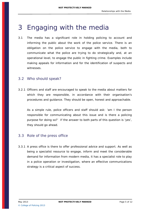# <span id="page-4-0"></span>3 Engaging with the media

3.1 The media has a significant role in holding policing to account and informing the public about the work of the police service. There is an obligation on the police service to engage with the media, both to communicate what the police are trying to do strategically and, at an operational level, to engage the public in fighting crime. Examples include making appeals for information and for the identification of suspects and witnesses.

#### 3.2 Who should speak?

3.2.1 Officers and staff are encouraged to speak to the media about matters for which they are responsible, in accordance with their organisation's procedures and guidance. They should be open, honest and approachable.

As a simple rule, police officers and staff should ask: 'am I the person responsible for communicating about this issue and is there a policing purpose for doing so?' If the answer to both parts of this question is 'yes', they should go ahead.

#### 3.3 Role of the press office

3.3.1 A press office is there to offer professional advice and support. As well as being a specialist resource to engage, inform and meet the considerable demand for information from modern media, it has a specialist role to play in a police operation or investigation, where an effective communications strategy is a critical aspect of success.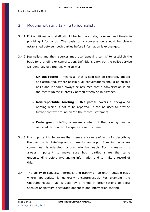#### 3.4 Meeting with and talking to journalists

- 3.4.1 Police officers and staff should be fair, accurate, relevant and timely in providing information. The basis of a conversation should be clearly established between both parties before information is exchanged.
- 3.4.2 Journalists and their sources may use 'speaking terms' to establish the basis for a briefing or conversation. Definitions vary, but the police service will generally use the following terms:
	- **On the record** means all that is said can be reported, quoted and attributed. Where possible, all conversations should be on this basis and it should always be assumed that a conversation is on the record unless expressly agreed otherwise in advance.
	- **Non-reportable briefing** this phrase covers a background briefing which is not to be reported. It can be used to provide further context around an 'on the record' statement.
	- **Embargoed briefing**  means content of the briefing can be reported, but not until a specific event or time.
- 3.4.3 It is important to be aware that there are a range of terms for describing the use to which briefings and comments can be put. Speaking terms are sometimes misunderstood or used interchangeably. For this reason it is always important to make sure both parties share the same understanding before exchanging information and to make a record of this.
- 3.4.4 The ability to converse informally and frankly on an unattributable basis where appropriate is generally uncontroversial. For example, the Chatham House Rule is used by a range of organisations to allow speaker anonymity, encourage openness and information sharing.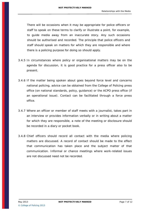There will be occasions when it may be appropriate for police officers or staff to speak on these terms to clarify or illustrate a point, for example, to guide media away from an inaccurate story. Any such occasions should be authorised and recorded. The principle that police officers and staff should speak on matters for which they are responsible and where there is a policing purpose for doing so should apply.

- 3.4.5 In circumstances where policy or organisational matters may be on the agenda for discussion, it is good practice for a press officer also to be present.
- 3.4.6 If the matter being spoken about goes beyond force level and concerns national policing, advice can be obtained from the College of Policing press office (on national standards, policy, guidance) or the ACPO press office (if an operational issue). Contact can be facilitated through a force press office.
- 3.4.7 Where an officer or member of staff meets with a journalist, takes part in an interview or provides information verbally or in writing about a matter for which they are responsible, a note of the meeting or disclosure should be recorded in a diary or pocket book.
- 3.4.8 Chief officers should record all contact with the media where policing matters are discussed. A record of contact should be made to the effect that communication has taken place and the subject matter of that communication. Informal or chance meetings where work-related issues are not discussed need not be recorded.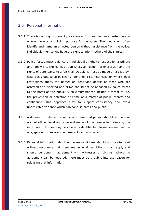#### 3.5 Personal information

- 3.5.1 There is nothing to prevent police forces from naming an arrested person where there is a policing purpose for doing so. The media will often identify and name an arrested person without assistance from the police. Individuals themselves have the right to inform others of their arrest.
- 3.5.2 Police forces must balance an individual's right to respect for a private and family life, the rights of publishers to freedom of expression and the rights of defendants to a fair trial. Decisions must be made on a case-bycase basis but, save in clearly identified circumstances, or where legal restrictions apply, the names or identifying details of those who are arrested or suspected of a crime should not be released by police forces to the press or the public. Such circumstances include a threat to life, the prevention or detection of crime or a matter of public interest and confidence. This approach aims to support consistency and avoid undesirable variance which can confuse press and public.
- 3.5.3 A decision to release the name of an arrested person should be made at a chief officer level and a record made of the reason for releasing the information. Forces may provide non-identifiable information such as the age, gender, offence and a general location of arrest.
- 3.5.4 Personal information about witnesses or victims should not be disclosed without assurance that there are no legal restrictions which apply and should be done in agreement with witnesses or victims. Where no agreement can be reached, there must be a public interest reason for releasing that information.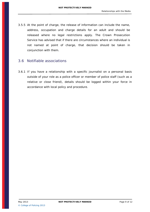3.5.5 At the point of charge, the release of information can include the name, address, occupation and charge details for an adult and should be released where no legal restrictions apply. The Crown Prosecution Service has advised that if there are circumstances where an individual is not named at point of charge, that decision should be taken in conjunction with them.

#### 3.6 Notifiable associations

3.6.1 If you have a relationship with a specific journalist on a personal basis outside of your role as a police officer or member of police staff (such as a relative or close friend), details should be logged within your force in accordance with local policy and procedure.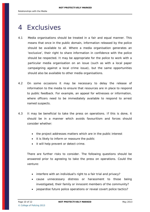## <span id="page-9-0"></span>4 Exclusives

- 4.1 Media organisations should be treated in a fair and equal manner. This means that once in the public domain, information released by the police should be available to all. Where a media organisation generates an 'exclusive', their right to share information in confidence with the police should be respected. It may be appropriate for the police to work with a particular media organisation on an issue (such as with a local paper campaigning against a local crime issue), but the same opportunities should also be available to other media organisations.
- 4.2 On some occasions it may be necessary to delay the release of information to the media to ensure that resources are in place to respond to public feedback. For example, an appeal for witnesses or information, where officers need to be immediately available to respond to arrest named suspects.
- 4.3 It may be beneficial to take the press on operations. If this is done, it should be in a manner which avoids favouritism and forces should consider whether:
	- the project addresses matters which are in the public interest
	- it is likely to inform or reassure the public
	- it will help prevent or detect crime.

There are further risks to consider. The following questions should be answered prior to agreeing to take the press on operations. Could the venture:

- interfere with an individual's right to a fair trial and privacy?
- cause unnecessary distress or harassment to those being investigated, their family or innocent members of the community?
- jeopardise future police operations or reveal covert police tactics?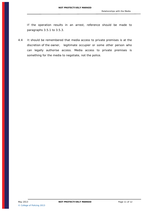If the operation results in an arrest, reference should be made to paragraphs 3.5.1 to 3.5.3.

4.4 It should be remembered that media access to private premises is at the discretion of the owner, legitimate occupier or some other person who can legally authorise access. Media access to private premises is something for the media to negotiate, not the police.